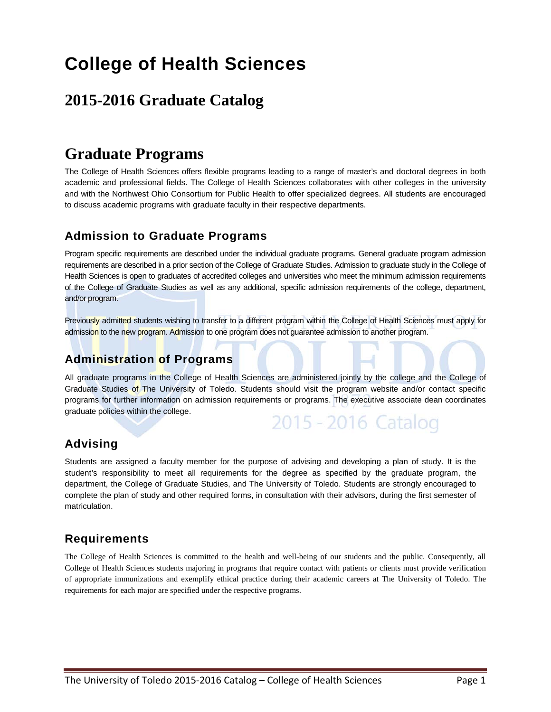# **College of Health Sciences**

# **2015-2016 Graduate Catalog**

# **Graduate Programs**

The College of Health Sciences offers flexible programs leading to a range of master's and doctoral degrees in both academic and professional fields. The College of Health Sciences collaborates with other colleges in the university and with the Northwest Ohio Consortium for Public Health to offer specialized degrees. All students are encouraged to discuss academic programs with graduate faculty in their respective departments.

# **Admission to Graduate Programs**

Program specific requirements are described under the individual graduate programs. General graduate program admission requirements are described in a prior section of the College of Graduate Studies. Admission to graduate study in the College of Health Sciences is open to graduates of accredited colleges and universities who meet the minimum admission requirements of the College of Graduate Studies as well as any additional, specific admission requirements of the college, department, and/or program.

Previously admitted students wishing to transfer to a different program within the College of Health Sciences must apply for admission to the new program. Admission to one program does not guarantee admission to another program.

# **Administration of Programs**

All graduate programs in the College of Health Sciences are administered jointly by the college and the College of Graduate Studies of The University of Toledo. Students should visit the program website and/or contact specific programs for further information on admission requirements or programs. The executive associate dean coordinates graduate policies within the college.



# **Advising**

Students are assigned a faculty member for the purpose of advising and developing a plan of study. It is the student's responsibility to meet all requirements for the degree as specified by the graduate program, the department, the College of Graduate Studies, and The University of Toledo. Students are strongly encouraged to complete the plan of study and other required forms, in consultation with their advisors, during the first semester of matriculation.

# **Requirements**

The College of Health Sciences is committed to the health and well-being of our students and the public. Consequently, all College of Health Sciences students majoring in programs that require contact with patients or clients must provide verification of appropriate immunizations and exemplify ethical practice during their academic careers at The University of Toledo. The requirements for each major are specified under the respective programs.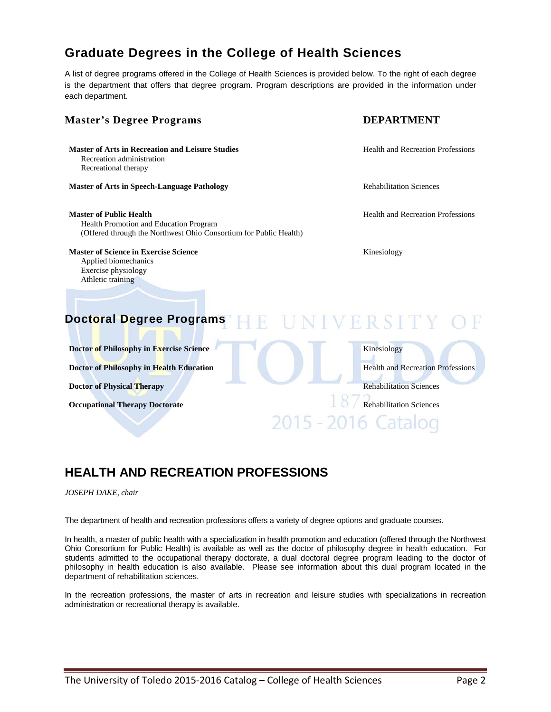# **Graduate Degrees in the College of Health Sciences**

A list of degree programs offered in the College of Health Sciences is provided below. To the right of each degree is the department that offers that degree program. Program descriptions are provided in the information under each department.

# **Master's Degree Programs DEPARTMENT Master of Arts in Recreation and Leisure Studies and Health and Recreation Professions** Recreation administration Recreational therapy **Master of Arts in Speech-Language Pathology <b>Rehabilitation Sciences** Rehabilitation Sciences **Master of Public Health Health Health Health Health** and Recreation Professions Health Promotion and Education Program (Offered through the Northwest Ohio Consortium for Public Health) **Master of Science in Exercise Science** Kinesiology Applied biomechanics Exercise physiology Athletic training **Doctoral Degree Programs Doctor of Philosophy in Exercise Science** Kinesiology **Doctor of Philosophy in Health Education Health and Recreation Professions Doctor of Physical Therapy** Rehabilitation Sciences **Occupational Therapy Doctorate** Rehabilitation Sciences 2015 - 2016 Catal

# **HEALTH AND RECREATION PROFESSIONS**

#### *JOSEPH DAKE, chair*

The department of health and recreation professions offers a variety of degree options and graduate courses.

In health, a master of public health with a specialization in health promotion and education (offered through the Northwest Ohio Consortium for Public Health) is available as well as the doctor of philosophy degree in health education. For students admitted to the occupational therapy doctorate, a dual doctoral degree program leading to the doctor of philosophy in health education is also available. Please see information about this dual program located in the department of rehabilitation sciences.

In the recreation professions, the master of arts in recreation and leisure studies with specializations in recreation administration or recreational therapy is available.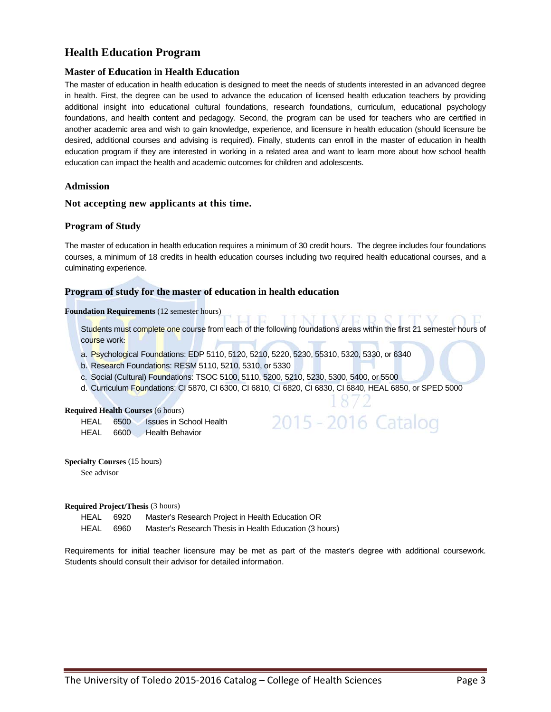## **Health Education Program**

### **Master of Education in Health Education**

The master of education in health education is designed to meet the needs of students interested in an advanced degree in health. First, the degree can be used to advance the education of licensed health education teachers by providing additional insight into educational cultural foundations, research foundations, curriculum, educational psychology foundations, and health content and pedagogy. Second, the program can be used for teachers who are certified in another academic area and wish to gain knowledge, experience, and licensure in health education (should licensure be desired, additional courses and advising is required). Finally, students can enroll in the master of education in health education program if they are interested in working in a related area and want to learn more about how school health education can impact the health and academic outcomes for children and adolescents.

### **Admission**

### **Not accepting new applicants at this time.**

### **Program of Study**

The master of education in health education requires a minimum of 30 credit hours. The degree includes four foundations courses, a minimum of 18 credits in health education courses including two required health educational courses, and a culminating experience.

### **Program of study for the master of education in health education**

#### **Foundation Requirements** (12 semester hours)

Students must complete one course from each of the following foundations areas within the first 21 semester hours of course work:

2015 - 2016 Catalog

- a. Psychological Foundations: EDP 5110, 5120, 5210, 5220, 5230, 55310, 5320, 5330, or 6340
- b. Research Foundations: RESM 5110, 5210, 5310, or 5330
- c. Social (Cultural) Foundations: TSOC 5100, 5110, 5200, 5210, 5230, 5300, 5400, or 5500
- d. Curriculum Foundations: CI 5870, CI 6300, CI 6810, CI 6820, CI 6830, CI 6840, HEAL 6850, or SPED 5000

#### **Required Health Courses** (6 hours)

HEAL 6500 Issues in School Health HEAL 6600 Health Behavior

**Specialty Courses** (15 hours) See advisor

**Required Project/Thesis** (3 hours)

HEAL 6920 Master's Research Project in Health Education OR

HEAL 6960 Master's Research Thesis in Health Education (3 hours)

Requirements for initial teacher licensure may be met as part of the master's degree with additional coursework. Students should consult their advisor for detailed information.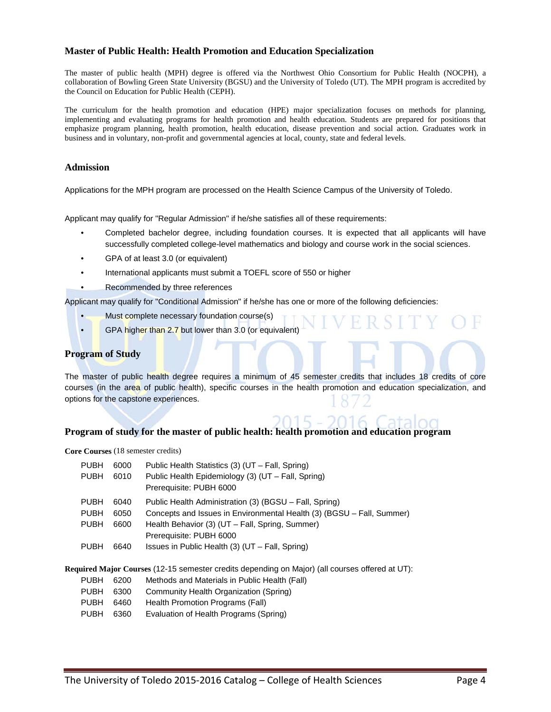### **Master of Public Health: Health Promotion and Education Specialization**

The master of public health (MPH) degree is offered via the Northwest Ohio Consortium for Public Health (NOCPH), a collaboration of Bowling Green State University (BGSU) and the University of Toledo (UT). The MPH program is accredited by the Council on Education for Public Health (CEPH).

The curriculum for the health promotion and education (HPE) major specialization focuses on methods for planning, implementing and evaluating programs for health promotion and health education. Students are prepared for positions that emphasize program planning, health promotion, health education, disease prevention and social action. Graduates work in business and in voluntary, non-profit and governmental agencies at local, county, state and federal levels.

### **Admission**

Applications for the MPH program are processed on the Health Science Campus of the University of Toledo.

Applicant may qualify for "Regular Admission" if he/she satisfies all of these requirements:

- Completed bachelor degree, including foundation courses. It is expected that all applicants will have successfully completed college-level mathematics and biology and course work in the social sciences.
- GPA of at least 3.0 (or equivalent)
- International applicants must submit a TOEFL score of 550 or higher
- Recommended by three references

Applicant may qualify for "Conditional Admission" if he/she has one or more of the following deficiencies:

- Must complete necessary foundation course(s)
- GPA higher than 2.7 but lower than 3.0 (or equivalent)

### **Program of Study**

The master of public health degree requires a minimum of 45 semester credits that includes 18 credits of core courses (in the area of public health), specific courses in the health promotion and education specialization, and options for the capstone experiences.

### **Program of study for the master of public health: health promotion and education program**

**Core Courses** (18 semester credits)

| <b>PUBH</b><br><b>PUBH</b>                                                                  | 6000<br>6010         | Public Health Statistics (3) (UT – Fall, Spring)<br>Public Health Epidemiology (3) (UT – Fall, Spring)<br>Prerequisite: PUBH 6000                                                                             |  |  |  |  |
|---------------------------------------------------------------------------------------------|----------------------|---------------------------------------------------------------------------------------------------------------------------------------------------------------------------------------------------------------|--|--|--|--|
| <b>PUBH</b><br><b>PUBH</b><br><b>PUBH</b>                                                   | 6040<br>6050<br>6600 | Public Health Administration (3) (BGSU – Fall, Spring)<br>Concepts and Issues in Environmental Health (3) (BGSU - Fall, Summer)<br>Health Behavior (3) (UT - Fall, Spring, Summer)<br>Prerequisite: PUBH 6000 |  |  |  |  |
| <b>PUBH</b>                                                                                 | 6640                 | Issues in Public Health (3) (UT – Fall, Spring)                                                                                                                                                               |  |  |  |  |
| uired Major Courses (12-15 semester credits depending on Major) (all courses offered at UT) |                      |                                                                                                                                                                                                               |  |  |  |  |

**Required Major Courses** (12-15 semester credits depending on Major) (all courses offered at UT):

- PUBH 6200 Methods and Materials in Public Health (Fall)
- PUBH 6300 Community Health Organization (Spring)
- PUBH 6460 Health Promotion Programs (Fall)
- PUBH 6360 Evaluation of Health Programs (Spring)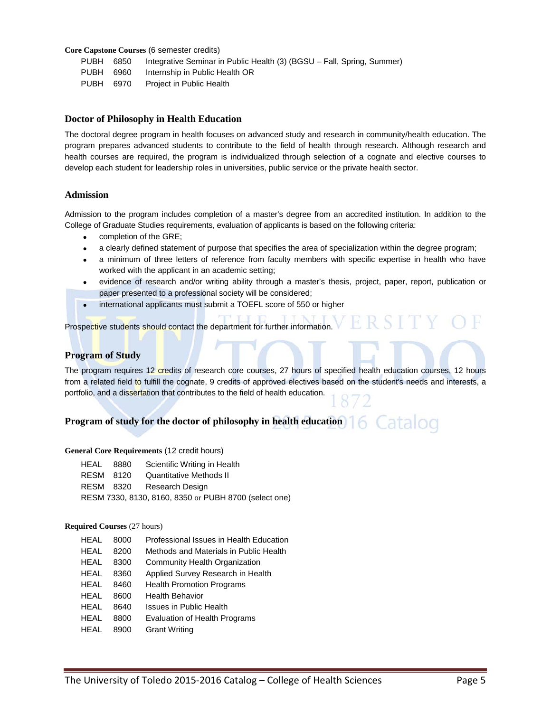**Core Capstone Courses** (6 semester credits)

PUBH 6850 Integrative Seminar in Public Health (3) (BGSU – Fall, Spring, Summer)

PUBH 6960 Internship in Public Health OR

PUBH 6970 Project in Public Health

### **Doctor of Philosophy in Health Education**

The doctoral degree program in health focuses on advanced study and research in community/health education. The program prepares advanced students to contribute to the field of health through research. Although research and health courses are required, the program is individualized through selection of a cognate and elective courses to develop each student for leadership roles in universities, public service or the private health sector.

### **Admission**

Admission to the program includes completion of a master's degree from an accredited institution. In addition to the College of Graduate Studies requirements, evaluation of applicants is based on the following criteria:

- completion of the GRE;
- a clearly defined statement of purpose that specifies the area of specialization within the degree program;
- a minimum of three letters of reference from faculty members with specific expertise in health who have worked with the applicant in an academic setting;
- evidence of research and/or writing ability through a master's thesis, project, paper, report, publication or paper presented to a professional society will be considered;

RS

• international applicants must submit a TOEFL score of 550 or higher

Prospective students should contact the department for further information.

### **Program of Study**

The program requires 12 credits of research core courses, 27 hours of specified health education courses, 12 hours from a related field to fulfill the cognate, 9 credits of approved electives based on the student's needs and interests, a portfolio, and a dissertation that contributes to the field of health education.

#### Catalog **Program of study for the doctor of philosophy in health education**

#### **General Core Requirements** (12 credit hours)

| HEAL      | 8880 | Scientific Writing in Health                          |
|-----------|------|-------------------------------------------------------|
| RESM 8120 |      | Quantitative Methods II                               |
|           |      | RESM 8320 Research Design                             |
|           |      | RESM 7330, 8130, 8160, 8350 or PUBH 8700 (select one) |

#### **Required Courses** (27 hours)

| <b>HEAL</b> | 8000 | Professional Issues in Health Education |
|-------------|------|-----------------------------------------|
| HFAL        | 8200 | Methods and Materials in Public Health  |
| HEAL        | 8300 | Community Health Organization           |
| HEAL        | 8360 | Applied Survey Research in Health       |
| HFAL        | 8460 | <b>Health Promotion Programs</b>        |
| <b>HEAL</b> | 8600 | <b>Health Behavior</b>                  |
| HFAL        | 8640 | Issues in Public Health                 |
| HFAL        | 8800 | Evaluation of Health Programs           |
| HEAL        | 8900 | <b>Grant Writing</b>                    |
|             |      |                                         |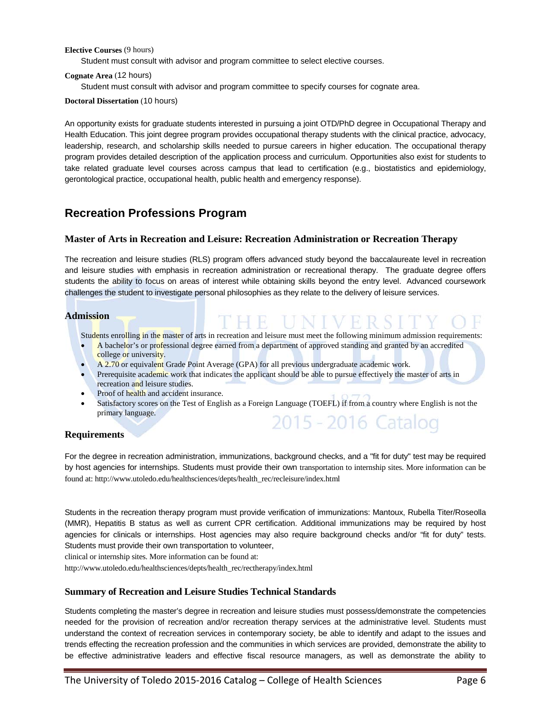### **Elective Courses** (9 hours)

Student must consult with advisor and program committee to select elective courses.

#### **Cognate Area** (12 hours)

Student must consult with advisor and program committee to specify courses for cognate area.

**Doctoral Dissertation** (10 hours)

An opportunity exists for graduate students interested in pursuing a joint OTD/PhD degree in Occupational Therapy and Health Education. This joint degree program provides occupational therapy students with the clinical practice, advocacy, leadership, research, and scholarship skills needed to pursue careers in higher education. The occupational therapy program provides detailed description of the application process and curriculum. Opportunities also exist for students to take related graduate level courses across campus that lead to certification (e.g., biostatistics and epidemiology, gerontological practice, occupational health, public health and emergency response).

### **Recreation Professions Program**

### **Master of Arts in Recreation and Leisure: Recreation Administration or Recreation Therapy**

The recreation and leisure studies (RLS) program offers advanced study beyond the baccalaureate level in recreation and leisure studies with emphasis in recreation administration or recreational therapy. The graduate degree offers students the ability to focus on areas of interest while obtaining skills beyond the entry level. Advanced coursework challenges the student to investigate personal philosophies as they relate to the delivery of leisure services.

### **Admission**

Students enrolling in the master of arts in recreation and leisure must meet the following minimum admission requirements:

e Filini V.F

- A bachelor's or professional degree earned from a department of approved standing and granted by an accredited college or university.
- A 2.70 or equivalent Grade Point Average (GPA) for all previous undergraduate academic work.
- Prerequisite academic work that indicates the applicant should be able to pursue effectively the master of arts in recreation and leisure studies.
- Proof of health and accident insurance.
- Satisfactory scores on the Test of English as a Foreign Language (TOEFL) if from a country where English is not the primary language. 2015 - 2016 Catalog

### **Requirements**

For the degree in recreation administration, immunizations, background checks, and a "fit for duty" test may be required by host agencies for internships. Students must provide their own transportation to internship sites. More information can be found at[: http://www.utoledo.edu/healthsciences/depts/health\\_rec/recleisure/index.html](http://www.utoledo.edu/healthsciences/depts/health_rec/recleisure/index.html)

Students in the recreation therapy program must provide verification of immunizations: Mantoux, Rubella Titer/Roseolla (MMR), Hepatitis B status as well as current CPR certification. Additional immunizations may be required by host agencies for clinicals or internships. Host agencies may also require background checks and/or "fit for duty" tests. Students must provide their own transportation to volunteer,

clinical or internship sites. More information can be found at:

[http://www.utoledo.edu/healthsciences/depts/health\\_rec/rectherapy/index.html](http://www.utoledo.edu/healthsciences/depts/health_rec/rectherapy/index.html)

### **Summary of Recreation and Leisure Studies Technical Standards**

Students completing the master's degree in recreation and leisure studies must possess/demonstrate the competencies needed for the provision of recreation and/or recreation therapy services at the administrative level. Students must understand the context of recreation services in contemporary society, be able to identify and adapt to the issues and trends effecting the recreation profession and the communities in which services are provided, demonstrate the ability to be effective administrative leaders and effective fiscal resource managers, as well as demonstrate the ability to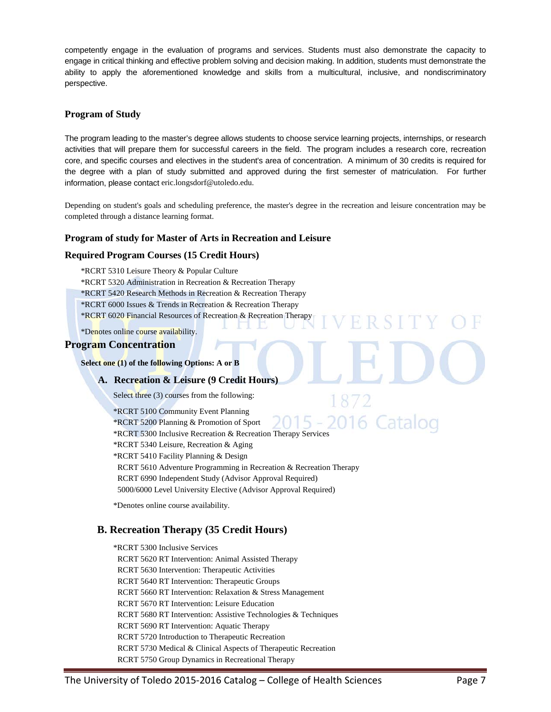competently engage in the evaluation of programs and services. Students must also demonstrate the capacity to engage in critical thinking and effective problem solving and decision making. In addition, students must demonstrate the ability to apply the aforementioned knowledge and skills from a multicultural, inclusive, and nondiscriminatory perspective.

### **Program of Study**

The program leading to the master's degree allows students to choose service learning projects, internships, or research activities that will prepare them for successful careers in the field. The program includes a research core, recreation core, and specific courses and electives in the student's area of concentration. A minimum of 30 credits is required for the degree with a plan of study submitted and approved during the first semester of matriculation. For further information, please contact eric.longsdorf@utoledo.edu.

Depending on student's goals and scheduling preference, the master's degree in the recreation and leisure concentration may be completed through a distance learning format.

R S I

### **Program of study for Master of Arts in Recreation and Leisure**

### **Required Program Courses (15 Credit Hours)**

\*RCRT 5310 Leisure Theory & Popular Culture

\*RCRT 5320 Administration in Recreation & Recreation Therapy

\*RCRT 5420 Research Methods in Recreation & Recreation Therapy

\*RCRT 6000 Issues & Trends in Recreation & Recreation Therapy

\*RCRT 6020 Financial Resources of Recreation & Recreation Therapy

\*Denotes online course availability.

### **Program Concentration**

**Select one (1) of the following Options: A or B**

### **A. Recreation & Leisure (9 Credit Hours)**

Select three (3) courses from the following:

\*RCRT 5100 Community Event Planning 2016 Catalog \*RCRT 5200 Planning & Promotion of Sport \*RCRT 5300 Inclusive Recreation & Recreation Therapy Services \*RCRT 5340 Leisure, Recreation & Aging \*RCRT 5410 Facility Planning & Design RCRT 5610 Adventure Programming in Recreation & Recreation Therapy RCRT 6990 Independent Study (Advisor Approval Required) 5000/6000 Level University Elective (Advisor Approval Required)

\*Denotes online course availability.

### **B. Recreation Therapy (35 Credit Hours)**

\*RCRT 5300 Inclusive Services RCRT 5620 RT Intervention: Animal Assisted Therapy RCRT 5630 Intervention: Therapeutic Activities RCRT 5640 RT Intervention: Therapeutic Groups RCRT 5660 RT Intervention: Relaxation & Stress Management RCRT 5670 RT Intervention: Leisure Education RCRT 5680 RT Intervention: Assistive Technologies & Techniques RCRT 5690 RT Intervention: Aquatic Therapy RCRT 5720 Introduction to Therapeutic Recreation RCRT 5730 Medical & Clinical Aspects of Therapeutic Recreation RCRT 5750 Group Dynamics in Recreational Therapy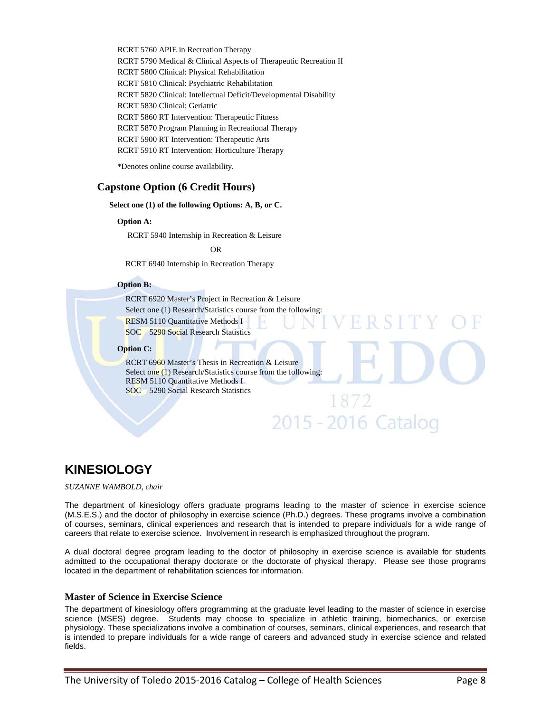RCRT 5760 APIE in Recreation Therapy RCRT 5790 Medical & Clinical Aspects of Therapeutic Recreation II RCRT 5800 Clinical: Physical Rehabilitation RCRT 5810 Clinical: Psychiatric Rehabilitation RCRT 5820 Clinical: Intellectual Deficit/Developmental Disability RCRT 5830 Clinical: Geriatric RCRT 5860 RT Intervention: Therapeutic Fitness RCRT 5870 Program Planning in Recreational Therapy RCRT 5900 RT Intervention: Therapeutic Arts RCRT 5910 RT Intervention: Horticulture Therapy

\*Denotes online course availability.

### **Capstone Option (6 Credit Hours)**

#### **Select one (1) of the following Options: A, B, or C.**

**Option A:**

RCRT 5940 Internship in Recreation & Leisure

**OR** OR

RCRT 6940 Internship in Recreation Therapy

#### **Option B:**

RCRT 6920 Master's Project in Recreation & Leisure Select one (1) Research/Statistics course from the following: RESM 5110 Quantitative Methods I SOC 5290 Social Research Statistics

#### **Option C:**

RCRT 6960 Master's Thesis in Recreation & Leisure Select one (1) Research/Statistics course from the following: RESM 5110 Quantitative Methods I SOC 5290 Social Research Statistics

# **KINESIOLOGY**

*SUZANNE WAMBOLD, chair*

The department of kinesiology offers graduate programs leading to the master of science in exercise science (M.S.E.S.) and the doctor of philosophy in exercise science (Ph.D.) degrees. These programs involve a combination of courses, seminars, clinical experiences and research that is intended to prepare individuals for a wide range of careers that relate to exercise science. Involvement in research is emphasized throughout the program.

1872

2015 - 2016 Catalog

A dual doctoral degree program leading to the doctor of philosophy in exercise science is available for students admitted to the occupational therapy doctorate or the doctorate of physical therapy. Please see those programs located in the department of rehabilitation sciences for information.

### **Master of Science in Exercise Science**

The department of kinesiology offers programming at the graduate level leading to the master of science in exercise science (MSES) degree. Students may choose to specialize in athletic training, biomechanics, or exercise physiology. These specializations involve a combination of courses, seminars, clinical experiences, and research that is intended to prepare individuals for a wide range of careers and advanced study in exercise science and related fields.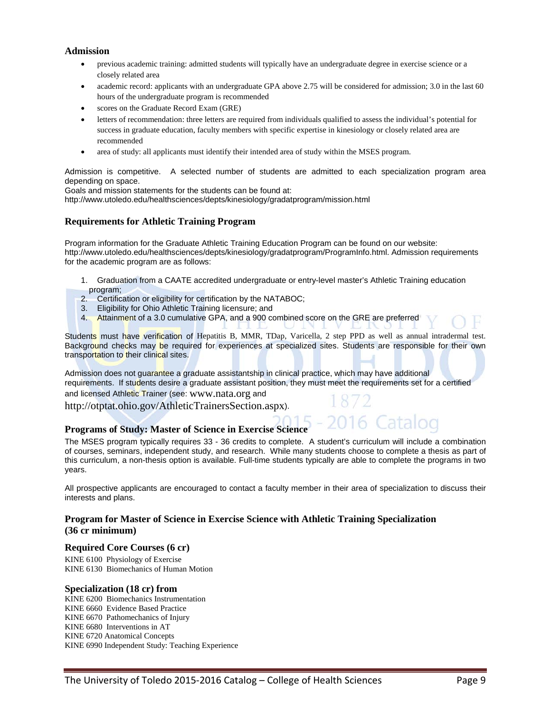### **Admission**

- previous academic training: admitted students will typically have an undergraduate degree in exercise science or a closely related area
- academic record: applicants with an undergraduate GPA above 2.75 will be considered for admission; 3.0 in the last 60 hours of the undergraduate program is recommended
- scores on the Graduate Record Exam (GRE)
- letters of recommendation: three letters are required from individuals qualified to assess the individual's potential for success in graduate education, faculty members with specific expertise in kinesiology or closely related area are recommended
- area of study: all applicants must identify their intended area of study within the MSES program.

Admission is competitive. A selected number of students are admitted to each specialization program area depending on space.

Goals and mission statements for the students can be found at:

<http://www.utoledo.edu/healthsciences/depts/kinesiology/gradatprogram/mission.html>

### **Requirements for Athletic Training Program**

Program information for the Graduate Athletic Training Education Program can be found on our website: [http://www.utoledo.edu/healthsciences/depts/kinesiology/gradatprogram/ProgramInfo.html.](http://www.utoledo.edu/healthsciences/depts/kinesiology/gradatprogram/ProgramInfo.html) Admission requirements for the academic program are as follows:

- 1. Graduation from a CAATE accredited undergraduate or entry-level master's Athletic Training education program;
- 2. Certification or eligibility for certification by the NATABOC;
- 3. Eligibility for Ohio Athletic Training licensure; and
- 4. Attainment of a 3.0 cumulative GPA, and a 900 combined score on the GRE are preferred

Students must have verification of Hepatitis B, MMR, TDap, Varicella, 2 step PPD as well as annual intradermal test. Background checks may be required for experiences at specialized sites. Students are responsible for their own transportation to their clinical sites.

Admission does not guarantee a graduate assistantship in clinical practice, which may have additional requirements. If students desire a graduate assistant position, they must meet the requirements set for a certified and licensed Athletic Trainer (see: [www.nata.org](http://www.nata.org/) and

<http://otptat.ohio.gov/AthleticTrainersSection.aspx>).

### **Programs of Study: Master of Science in Exercise Science**

The MSES program typically requires 33 - 36 credits to complete. A student's curriculum will include a combination of courses, seminars, independent study, and research. While many students choose to complete a thesis as part of this curriculum, a non-thesis option is available. Full-time students typically are able to complete the programs in two years.

All prospective applicants are encouraged to contact a faculty member in their area of specialization to discuss their interests and plans.

### **Program for Master of Science in Exercise Science with Athletic Training Specialization (36 cr minimum)**

### **Required Core Courses (6 cr)**

KINE 6100 Physiology of Exercise KINE 6130 Biomechanics of Human Motion

### **Specialization (18 cr) from**

KINE 6200 Biomechanics Instrumentation KINE 6660 Evidence Based Practice KINE 6670 Pathomechanics of Injury KINE 6680 Interventions in AT KINE 6720 Anatomical Concepts KINE 6990 Independent Study: Teaching Experience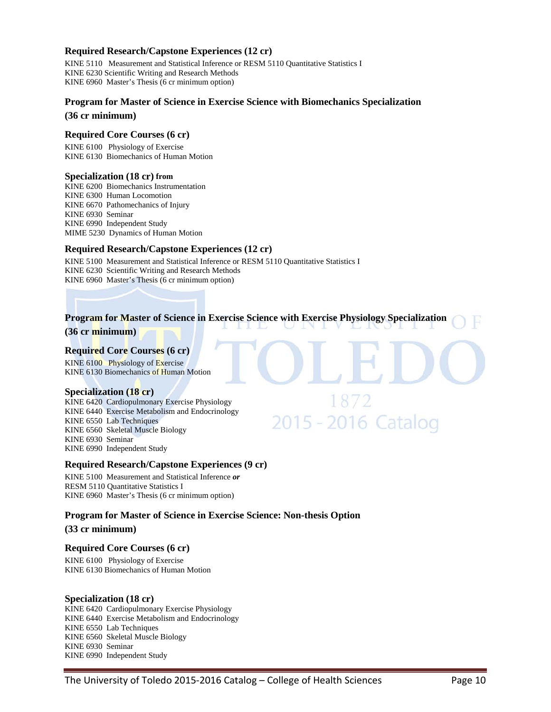### **Required Research/Capstone Experiences (12 cr)**

KINE 5110 Measurement and Statistical Inference or RESM 5110 Quantitative Statistics I KINE 6230 Scientific Writing and Research Methods KINE 6960 Master's Thesis (6 cr minimum option)

### **Program for Master of Science in Exercise Science with Biomechanics Specialization**

**(36 cr minimum)**

### **Required Core Courses (6 cr)**

KINE 6100 Physiology of Exercise KINE 6130 Biomechanics of Human Motion

### **Specialization (18 cr) from**

KINE 6200 Biomechanics Instrumentation KINE 6300 Human Locomotion KINE 6670 Pathomechanics of Injury KINE 6930 Seminar KINE 6990 Independent Study MIME 5230 Dynamics of Human Motion

### **Required Research/Capstone Experiences (12 cr)**

KINE 5100 Measurement and Statistical Inference or RESM 5110 Quantitative Statistics I KINE 6230 Scientific Writing and Research Methods KINE 6960 Master's Thesis (6 cr minimum option)

### **Program for Master of Science in Exercise Science with Exercise Physiology Specialization**

1872

2015 - 2016 Catalog

**(36 cr minimum)**

### **Required Core Courses (6 cr)**

KINE 6100 Physiology of Exercise KINE 6130 Biomechanics of Human Motion

### **Specialization (18 cr)**

KINE 6420 Cardiopulmonary Exercise Physiology KINE 6440 Exercise Metabolism and Endocrinology KINE 6550 Lab Techniques KINE 6560 Skeletal Muscle Biology KINE 6930 Seminar KINE 6990 Independent Study

### **Required Research/Capstone Experiences (9 cr)**

KINE 5100 Measurement and Statistical Inference *or* RESM 5110 Quantitative Statistics I KINE 6960 Master's Thesis (6 cr minimum option)

### **Program for Master of Science in Exercise Science: Non-thesis Option**

#### **(33 cr minimum)**

### **Required Core Courses (6 cr)**

KINE 6100 Physiology of Exercise KINE 6130 Biomechanics of Human Motion

#### **Specialization (18 cr)**

KINE 6420 Cardiopulmonary Exercise Physiology KINE 6440 Exercise Metabolism and Endocrinology KINE 6550 Lab Techniques KINE 6560 Skeletal Muscle Biology KINE 6930 Seminar KINE 6990 Independent Study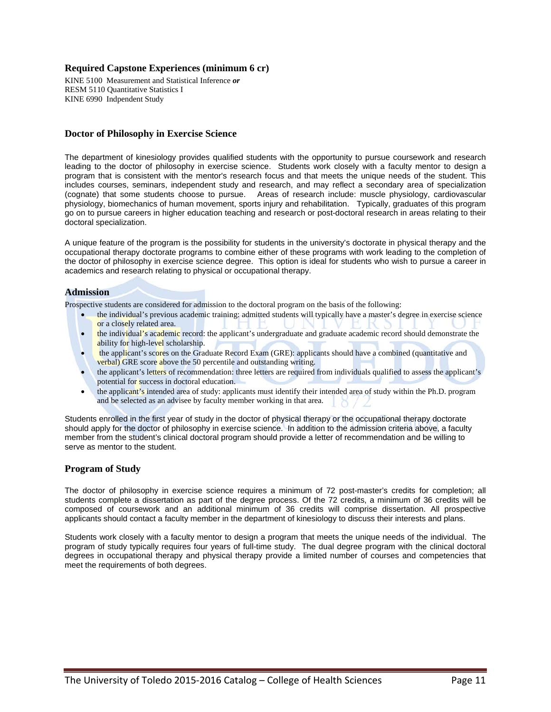### **Required Capstone Experiences (minimum 6 cr)**

KINE 5100 Measurement and Statistical Inference *or* RESM 5110 Quantitative Statistics I KINE 6990 Indpendent Study

### **Doctor of Philosophy in Exercise Science**

The department of kinesiology provides qualified students with the opportunity to pursue coursework and research leading to the doctor of philosophy in exercise science. Students work closely with a faculty mentor to design a program that is consistent with the mentor's research focus and that meets the unique needs of the student. This includes courses, seminars, independent study and research, and may reflect a secondary area of specialization (cognate) that some students choose to pursue. Areas of research include: muscle physiology, cardiovascular physiology, biomechanics of human movement, sports injury and rehabilitation. Typically, graduates of this program go on to pursue careers in higher education teaching and research or post-doctoral research in areas relating to their doctoral specialization.

A unique feature of the program is the possibility for students in the university's doctorate in physical therapy and the occupational therapy doctorate programs to combine either of these programs with work leading to the completion of the doctor of philosophy in exercise science degree. This option is ideal for students who wish to pursue a career in academics and research relating to physical or occupational therapy.

### **Admission**

Prospective students are considered for admission to the doctoral program on the basis of the following:

- the individual's previous academic training: admitted students will typically have a master's degree in exercise science or a closely related area.
- the individual's academic record: the applicant's undergraduate and graduate academic record should demonstrate the ability for high-level scholarship.
- the applicant's scores on the Graduate Record Exam (GRE): applicants should have a combined (quantitative and verbal) GRE score above the 50 percentile and outstanding writing.
- the applicant's letters of recommendation: three letters are required from individuals qualified to assess the applicant's potential for success in doctoral education.
- the applicant's intended area of study: applicants must identify their intended area of study within the Ph.D. program and be selected as an advisee by faculty member working in that area.

Students enrolled in the first year of study in the doctor of physical therapy or the occupational therapy doctorate should apply for the doctor of philosophy in exercise science. In addition to the admission criteria above, a faculty member from the student's clinical doctoral program should provide a letter of recommendation and be willing to serve as mentor to the student.

### **Program of Study**

The doctor of philosophy in exercise science requires a minimum of 72 post-master's credits for completion; all students complete a dissertation as part of the degree process. Of the 72 credits, a minimum of 36 credits will be composed of coursework and an additional minimum of 36 credits will comprise dissertation. All prospective applicants should contact a faculty member in the department of kinesiology to discuss their interests and plans.

Students work closely with a faculty mentor to design a program that meets the unique needs of the individual. The program of study typically requires four years of full-time study. The dual degree program with the clinical doctoral degrees in occupational therapy and physical therapy provide a limited number of courses and competencies that meet the requirements of both degrees.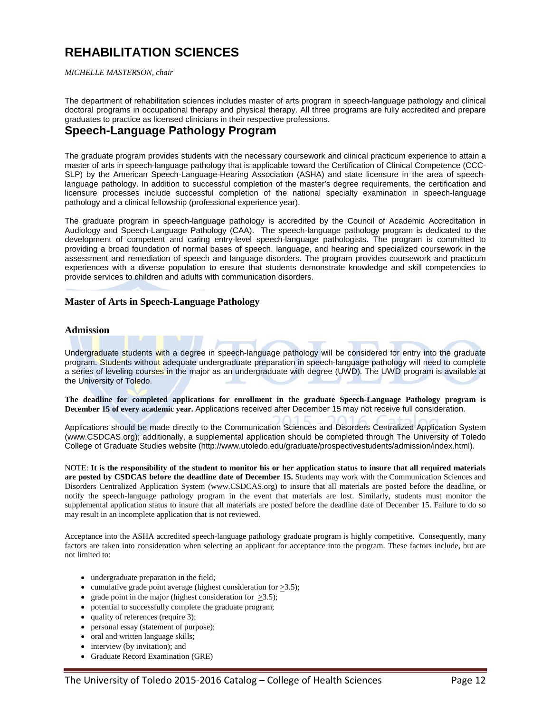# **REHABILITATION SCIENCES**

*MICHELLE MASTERSON, chair*

The department of rehabilitation sciences includes master of arts program in speech-language pathology and clinical doctoral programs in occupational therapy and physical therapy. All three programs are fully accredited and prepare graduates to practice as licensed clinicians in their respective professions.

## **Speech-Language Pathology Program**

The graduate program provides students with the necessary coursework and clinical practicum experience to attain a master of arts in speech-language pathology that is applicable toward the Certification of Clinical Competence (CCC-SLP) by the American Speech-Language-Hearing Association (ASHA) and state licensure in the area of speechlanguage pathology. In addition to successful completion of the master's degree requirements, the certification and licensure processes include successful completion of the national specialty examination in speech-language pathology and a clinical fellowship (professional experience year).

The graduate program in speech-language pathology is accredited by the Council of Academic Accreditation in Audiology and Speech-Language Pathology (CAA). The speech-language pathology program is dedicated to the development of competent and caring entry-level speech-language pathologists. The program is committed to providing a broad foundation of normal bases of speech, language, and hearing and specialized coursework in the assessment and remediation of speech and language disorders. The program provides coursework and practicum experiences with a diverse population to ensure that students demonstrate knowledge and skill competencies to provide services to children and adults with communication disorders.

### **Master of Arts in Speech-Language Pathology**

### **Admission**

Undergraduate students with a degree in speech-language pathology will be considered for entry into the graduate program. Students without adequate undergraduate preparation in speech-language pathology will need to complete a series of leveling courses in the major as an undergraduate with degree (UWD). The UWD program is available at the University of Toledo.

**The deadline for completed applications for enrollment in the graduate Speech-Language Pathology program is December 15 of every academic year.** Applications received after December 15 may not receive full consideration.

Applications should be made directly to the Communication Sciences and Disorders Centralized Application System [\(www.CSDCAS.org\)](http://www.csdcas.org/); additionally, a supplemental application should be completed through The University of Toledo College of Graduate Studies website [\(http://www.utoledo.edu/graduate/prospectivestudents/admission/index.html\)](http://www.utoledo.edu/graduate/prospectivestudents/admission/index.html).

NOTE: **It is the responsibility of the student to monitor his or her application status to insure that all required materials are posted by CSDCAS before the deadline date of December 15.** Students may work with the Communication Sciences and Disorders Centralized Application System [\(www.CSDCAS.org\)](http://www.csdcas.org/) to insure that all materials are posted before the deadline, or notify the speech-language pathology program in the event that materials are lost. Similarly, students must monitor the supplemental application status to insure that all materials are posted before the deadline date of December 15. Failure to do so may result in an incomplete application that is not reviewed.

Acceptance into the ASHA accredited speech-language pathology graduate program is highly competitive. Consequently, many factors are taken into consideration when selecting an applicant for acceptance into the program. These factors include, but are not limited to:

- undergraduate preparation in the field;
- cumulative grade point average (highest consideration for  $\geq 3.5$ );
- grade point in the major (highest consideration for  $\geq 3.5$ );
- potential to successfully complete the graduate program;
- quality of references (require 3);
- personal essay (statement of purpose);
- oral and written language skills;
- interview (by invitation); and
- Graduate Record Examination (GRE)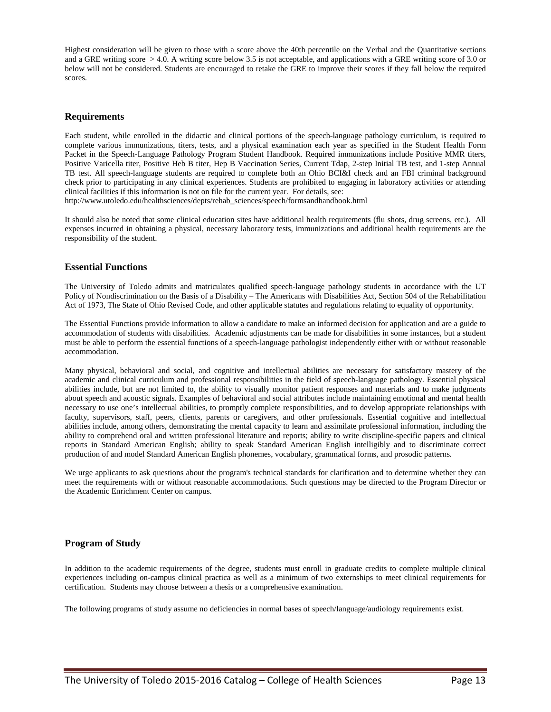Highest consideration will be given to those with a score above the 40th percentile on the Verbal and the Quantitative sections and a GRE writing score  $> 4.0$ . A writing score below 3.5 is not acceptable, and applications with a GRE writing score of 3.0 or below will not be considered. Students are encouraged to retake the GRE to improve their scores if they fall below the required scores.

### **Requirements**

Each student, while enrolled in the didactic and clinical portions of the speech-language pathology curriculum, is required to complete various immunizations, titers, tests, and a physical examination each year as specified in the Student Health Form Packet in the Speech-Language Pathology Program Student Handbook. Required immunizations include Positive MMR titers, Positive Varicella titer, Positive Heb B titer, Hep B Vaccination Series, Current Tdap, 2-step Initial TB test, and 1-step Annual TB test. All speech-language students are required to complete both an Ohio BCI&I check and an FBI criminal background check prior to participating in any clinical experiences. Students are prohibited to engaging in laboratory activities or attending clinical facilities if this information is not on file for the current year. For details, see:

[http://www.utoledo.edu/healthsciences/depts/rehab\\_sciences/speech/formsandhandbook.html](http://www.utoledo.edu/healthsciences/depts/rehab_sciences/speech/formsandhandbook.html)

It should also be noted that some clinical education sites have additional health requirements (flu shots, drug screens, etc.). All expenses incurred in obtaining a physical, necessary laboratory tests, immunizations and additional health requirements are the responsibility of the student.

### **Essential Functions**

The University of Toledo admits and matriculates qualified speech-language pathology students in accordance with the UT Policy of Nondiscrimination on the Basis of a Disability – The Americans with Disabilities Act, Section 504 of the Rehabilitation Act of 1973, The State of Ohio Revised Code, and other applicable statutes and regulations relating to equality of opportunity.

The Essential Functions provide information to allow a candidate to make an informed decision for application and are a guide to accommodation of students with disabilities. Academic adjustments can be made for disabilities in some instances, but a student must be able to perform the essential functions of a speech-language pathologist independently either with or without reasonable accommodation.

Many physical, behavioral and social, and cognitive and intellectual abilities are necessary for satisfactory mastery of the academic and clinical curriculum and professional responsibilities in the field of speech-language pathology. Essential physical abilities include, but are not limited to, the ability to visually monitor patient responses and materials and to make judgments about speech and acoustic signals. Examples of behavioral and social attributes include maintaining emotional and mental health necessary to use one's intellectual abilities, to promptly complete responsibilities, and to develop appropriate relationships with faculty, supervisors, staff, peers, clients, parents or caregivers, and other professionals. Essential cognitive and intellectual abilities include, among others, demonstrating the mental capacity to learn and assimilate professional information, including the ability to comprehend oral and written professional literature and reports; ability to write discipline-specific papers and clinical reports in Standard American English; ability to speak Standard American English intelligibly and to discriminate correct production of and model Standard American English phonemes, vocabulary, grammatical forms, and prosodic patterns.

We urge applicants to ask questions about the program's technical standards for clarification and to determine whether they can meet the requirements with or without reasonable accommodations. Such questions may be directed to the Program Director or the Academic Enrichment Center on campus.

### **Program of Study**

In addition to the academic requirements of the degree, students must enroll in graduate credits to complete multiple clinical experiences including on-campus clinical practica as well as a minimum of two externships to meet clinical requirements for certification. Students may choose between a thesis or a comprehensive examination.

The following programs of study assume no deficiencies in normal bases of speech/language/audiology requirements exist.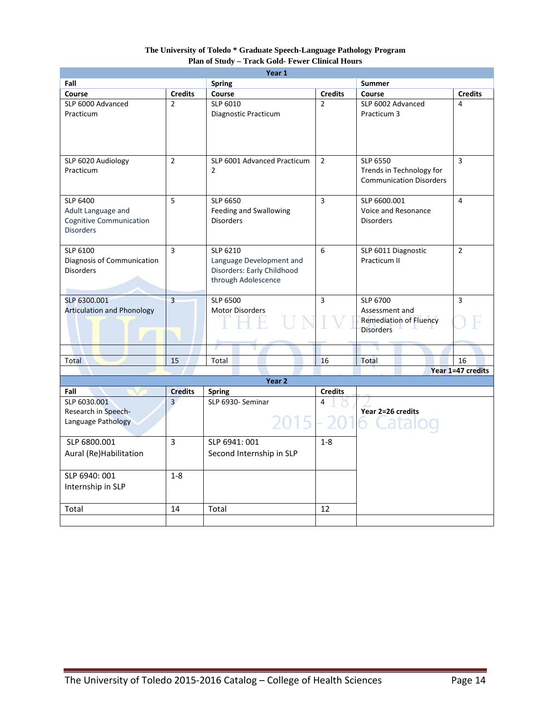### **The University of Toledo \* Graduate Speech-Language Pathology Program Plan of Study – Track Gold- Fewer Clinical Hours**

| Year 1                            |                |                             |                |                                |                   |
|-----------------------------------|----------------|-----------------------------|----------------|--------------------------------|-------------------|
| Fall                              |                | <b>Spring</b>               |                | <b>Summer</b>                  |                   |
| Course                            | <b>Credits</b> | Course                      | <b>Credits</b> | Course                         | <b>Credits</b>    |
| SLP 6000 Advanced                 | $\overline{2}$ | SLP 6010                    | $\overline{2}$ | SLP 6002 Advanced              | 4                 |
| Practicum                         |                | Diagnostic Practicum        |                | Practicum 3                    |                   |
|                                   |                |                             |                |                                |                   |
|                                   |                |                             |                |                                |                   |
|                                   |                |                             |                |                                |                   |
| SLP 6020 Audiology                | $\overline{2}$ | SLP 6001 Advanced Practicum | $\overline{2}$ | <b>SLP 6550</b>                | 3                 |
| Practicum                         |                | $\overline{2}$              |                | Trends in Technology for       |                   |
|                                   |                |                             |                | <b>Communication Disorders</b> |                   |
|                                   |                |                             |                |                                |                   |
| SLP 6400                          | 5              | SLP 6650                    | 3              | SLP 6600.001                   | 4                 |
| Adult Language and                |                | Feeding and Swallowing      |                | Voice and Resonance            |                   |
| <b>Cognitive Communication</b>    |                | <b>Disorders</b>            |                | <b>Disorders</b>               |                   |
| <b>Disorders</b>                  |                |                             |                |                                |                   |
|                                   |                |                             |                |                                |                   |
| SLP 6100                          | $\overline{3}$ | SLP 6210                    | 6              | SLP 6011 Diagnostic            | $\overline{2}$    |
| Diagnosis of Communication        |                | Language Development and    |                | Practicum II                   |                   |
| <b>Disorders</b>                  |                | Disorders: Early Childhood  |                |                                |                   |
|                                   |                | through Adolescence         |                |                                |                   |
| SLP 6300.001                      | $\overline{3}$ | SLP 6500                    | 3              | SLP 6700                       | 3                 |
| <b>Articulation and Phonology</b> |                | <b>Motor Disorders</b>      |                | Assessment and                 |                   |
|                                   |                |                             |                | <b>Remediation of Fluency</b>  |                   |
|                                   |                |                             |                | <b>Disorders</b>               |                   |
|                                   |                |                             |                |                                |                   |
|                                   |                |                             |                |                                |                   |
| Total                             | 15             | Total                       | 16             | <b>Total</b>                   | 16                |
|                                   |                |                             |                |                                | Year 1=47 credits |
|                                   |                | Year <sub>2</sub>           |                |                                |                   |
| Fall                              | <b>Credits</b> | <b>Spring</b>               | <b>Credits</b> |                                |                   |
| SLP 6030.001                      | $\overline{3}$ | SLP 6930- Seminar           | 4              |                                |                   |
| Research in Speech-               |                |                             |                | Year 2=26 credits              |                   |
| Language Pathology                |                | 2015                        |                |                                |                   |
| SLP 6800.001                      | $\overline{3}$ | SLP 6941: 001               | $1 - 8$        |                                |                   |
| Aural (Re)Habilitation            |                | Second Internship in SLP    |                |                                |                   |
|                                   |                |                             |                |                                |                   |
| SLP 6940: 001                     | $1 - 8$        |                             |                |                                |                   |
|                                   |                |                             |                |                                |                   |
| Internship in SLP                 |                |                             |                |                                |                   |
|                                   |                |                             |                |                                |                   |
| Total                             | 14             | Total                       | 12             |                                |                   |
|                                   |                |                             |                |                                |                   |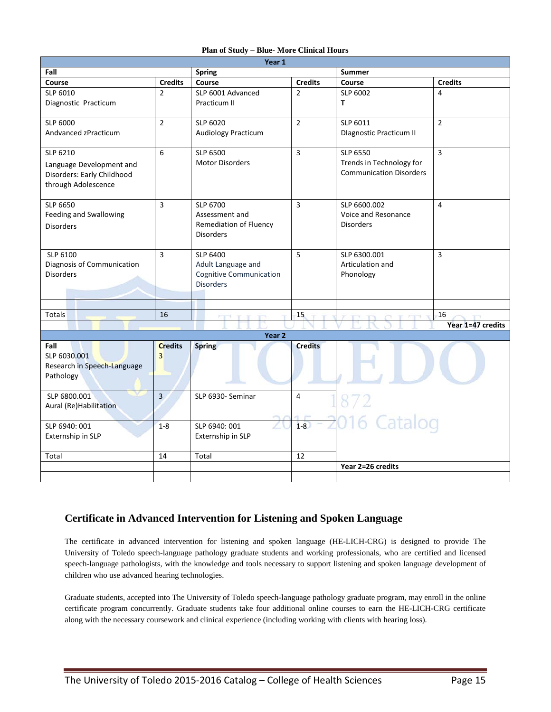|  |  |  |  |  |  |  |  | Plan of Study – Blue- More Clinical Hours |
|--|--|--|--|--|--|--|--|-------------------------------------------|
|--|--|--|--|--|--|--|--|-------------------------------------------|

| Year 1                      |                |                                    |                |                                      |                   |
|-----------------------------|----------------|------------------------------------|----------------|--------------------------------------|-------------------|
| Fall                        |                | <b>Spring</b>                      |                | <b>Summer</b>                        |                   |
| Course                      | <b>Credits</b> | Course                             | <b>Credits</b> | Course                               | <b>Credits</b>    |
| SLP 6010                    | $\mathcal{P}$  | SLP 6001 Advanced                  | $\overline{2}$ | SLP 6002                             | $\overline{4}$    |
| Diagnostic Practicum        |                | Practicum II                       |                | T                                    |                   |
|                             |                |                                    |                |                                      |                   |
| <b>SLP 6000</b>             | $\overline{2}$ | SLP 6020                           | $\overline{2}$ | SLP 6011                             | $\overline{2}$    |
| Andvanced zPracticum        |                | Audiology Practicum                |                | <b>Dlagnostic Practicum II</b>       |                   |
|                             |                |                                    |                |                                      |                   |
| SLP 6210                    | 6              | SLP 6500<br><b>Motor Disorders</b> | $\overline{3}$ | SLP 6550<br>Trends in Technology for | $\overline{3}$    |
| Language Development and    |                |                                    |                | <b>Communication Disorders</b>       |                   |
| Disorders: Early Childhood  |                |                                    |                |                                      |                   |
| through Adolescence         |                |                                    |                |                                      |                   |
| <b>SLP 6650</b>             | 3              | SLP 6700                           | $\overline{3}$ | SLP 6600.002                         | $\overline{4}$    |
| Feeding and Swallowing      |                | Assessment and                     |                | Voice and Resonance                  |                   |
| <b>Disorders</b>            |                | Remediation of Fluency             |                | <b>Disorders</b>                     |                   |
|                             |                | <b>Disorders</b>                   |                |                                      |                   |
|                             |                |                                    |                |                                      |                   |
| SLP 6100                    | 3              | SLP 6400                           | 5              | SLP 6300.001                         | $\overline{3}$    |
| Diagnosis of Communication  |                | Adult Language and                 |                | Articulation and                     |                   |
| <b>Disorders</b>            |                | <b>Cognitive Communication</b>     |                | Phonology                            |                   |
|                             |                | <b>Disorders</b>                   |                |                                      |                   |
|                             |                |                                    |                |                                      |                   |
|                             |                |                                    |                |                                      |                   |
| Totals                      | 16             | ז ד ד<br>T.B                       | 15             |                                      | 16                |
|                             |                | Year 2                             |                |                                      | Year 1=47 credits |
| Fall                        | <b>Credits</b> | <b>Spring</b>                      | <b>Credits</b> |                                      |                   |
| SLP 6030.001                | $\overline{3}$ |                                    |                |                                      |                   |
| Research in Speech-Language |                |                                    |                |                                      |                   |
| Pathology                   |                |                                    |                |                                      |                   |
|                             |                |                                    |                |                                      |                   |
| SLP 6800.001                | 3              | SLP 6930- Seminar                  | 4              | 872                                  |                   |
| Aural (Re)Habilitation      |                |                                    |                |                                      |                   |
|                             |                |                                    |                | 016 Catalog                          |                   |
| SLP 6940: 001               | $1 - 8$        | SLP 6940: 001                      | $1-8$          |                                      |                   |
| Externship in SLP           |                | Externship in SLP                  |                |                                      |                   |
|                             |                |                                    |                |                                      |                   |
| Total                       | 14             | Total                              | 12             | Year 2=26 credits                    |                   |
|                             |                |                                    |                |                                      |                   |

### **Certificate in Advanced Intervention for Listening and Spoken Language**

The certificate in advanced intervention for listening and spoken language (HE-LICH-CRG) is designed to provide The University of Toledo speech-language pathology graduate students and working professionals, who are certified and licensed speech-language pathologists, with the knowledge and tools necessary to support listening and spoken language development of children who use advanced hearing technologies.

Graduate students, accepted into The University of Toledo speech-language pathology graduate program, may enroll in the online certificate program concurrently. Graduate students take four additional online courses to earn the HE-LICH-CRG certificate along with the necessary coursework and clinical experience (including working with clients with hearing loss).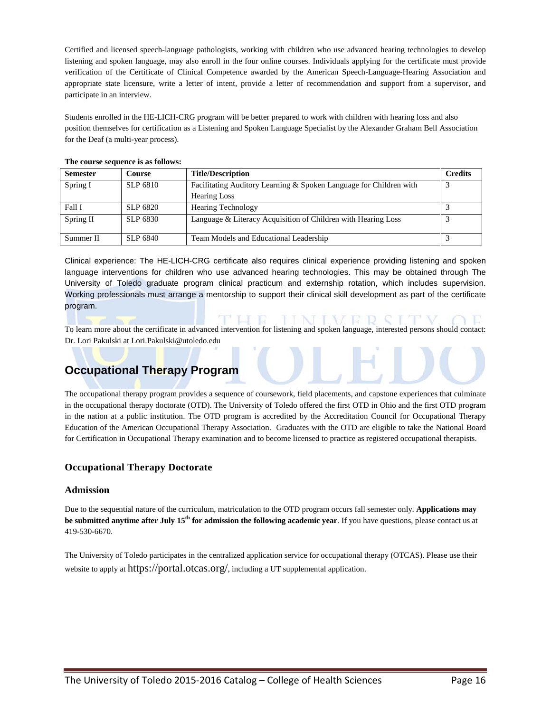Certified and licensed speech-language pathologists, working with children who use advanced hearing technologies to develop listening and spoken language, may also enroll in the four online courses. Individuals applying for the certificate must provide verification of the Certificate of Clinical Competence awarded by the American Speech-Language-Hearing Association and appropriate state licensure, write a letter of intent, provide a letter of recommendation and support from a supervisor, and participate in an interview.

Students enrolled in the HE-LICH-CRG program will be better prepared to work with children with hearing loss and also position themselves for certification as a Listening and Spoken Language Specialist by the Alexander Graham Bell Association for the Deaf (a multi-year process).

| <b>Semester</b> | <b>Course</b>   | <b>Title/Description</b>                                           | <b>Credits</b> |
|-----------------|-----------------|--------------------------------------------------------------------|----------------|
| Spring I        | SLP 6810        | Facilitating Auditory Learning & Spoken Language for Children with |                |
|                 |                 | <b>Hearing Loss</b>                                                |                |
| Fall I          | SLP 6820        | <b>Hearing Technology</b>                                          |                |
| Spring II       | SLP 6830        | Language & Literacy Acquisition of Children with Hearing Loss      |                |
| Summer II       | <b>SLP 6840</b> | Team Models and Educational Leadership                             |                |

### **The course sequence is as follows:**

Clinical experience: The HE-LICH-CRG certificate also requires clinical experience providing listening and spoken language interventions for children who use advanced hearing technologies. This may be obtained through The University of Toledo graduate program clinical practicum and externship rotation, which includes supervision. Working professionals must arrange a mentorship to support their clinical skill development as part of the certificate program.

To learn more about the certificate in advanced intervention for listening and spoken language, interested persons should contact: Dr. Lori Pakulski a[t Lori.Pakulski@utoledo.edu](mailto:Lori.Pakulski@utoledo.edu)

IINIVER SITV

THE

## **Occupational Therapy Program**

The occupational therapy program provides a sequence of coursework, field placements, and capstone experiences that culminate in the occupational therapy doctorate (OTD). The University of Toledo offered the first OTD in Ohio and the first OTD program in the nation at a public institution. The OTD program is accredited by the Accreditation Council for Occupational Therapy Education of the American Occupational Therapy Association. Graduates with the OTD are eligible to take the National Board for Certification in Occupational Therapy examination and to become licensed to practice as registered occupational therapists.

### **Occupational Therapy Doctorate**

### **Admission**

Due to the sequential nature of the curriculum, matriculation to the OTD program occurs fall semester only. **Applications may be submitted anytime after July 15<sup>th</sup> for admission the following academic year**. If you have questions, please contact us at 419-530-6670.

The University of Toledo participates in the centralized application service for occupational therapy (OTCAS). Please use their website to apply at https://portal.otcas.org/, including a UT supplemental application.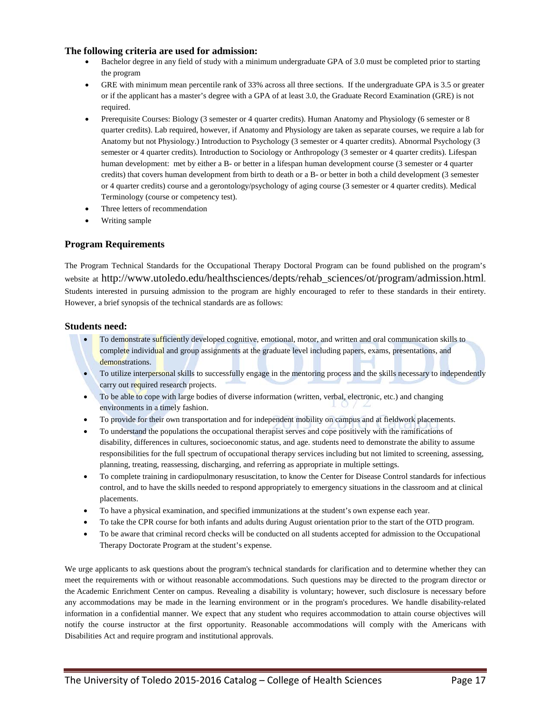### **The following criteria are used for admission:**

- Bachelor degree in any field of study with a minimum undergraduate GPA of 3.0 must be completed prior to starting the program
- GRE with minimum mean percentile rank of 33% across all three sections. If the undergraduate GPA is 3.5 or greater or if the applicant has a master's degree with a GPA of at least 3.0, the Graduate Record Examination (GRE) is not required.
- Prerequisite Courses: Biology (3 semester or 4 quarter credits). Human Anatomy and Physiology (6 semester or 8 quarter credits). Lab required, however, if Anatomy and Physiology are taken as separate courses, we require a lab for Anatomy but not Physiology.) Introduction to Psychology (3 semester or 4 quarter credits). Abnormal Psychology (3 semester or 4 quarter credits). Introduction to Sociology or Anthropology (3 semester or 4 quarter credits). Lifespan human development: met by either a B- or better in a lifespan human development course (3 semester or 4 quarter credits) that covers human development from birth to death or a B- or better in both a child development (3 semester or 4 quarter credits) course and a gerontology/psychology of aging course (3 semester or 4 quarter credits). Medical Terminology (course or competency test).
- Three letters of recommendation
- Writing sample

### **Program Requirements**

The Program Technical Standards for the Occupational Therapy Doctoral Program can be found published on the program's website at http://www.utoledo.edu/healthsciences/depts/rehab\_sciences/ot/program/admission.html. Students interested in pursuing admission to the program are highly encouraged to refer to these standards in their entirety. However, a brief synopsis of the technical standards are as follows:

### **Students need:**

- To demonstrate sufficiently developed cognitive, emotional, motor, and written and oral communication skills to complete individual and group assignments at the graduate level including papers, exams, presentations, and demonstrations.
- To utilize interpersonal skills to successfully engage in the mentoring process and the skills necessary to independently carry out required research projects.
- To be able to cope with large bodies of diverse information (written, verbal, electronic, etc.) and changing environments in a timely fashion.
- To provide for their own transportation and for independent mobility on campus and at fieldwork placements.
- To understand the populations the occupational therapist serves and cope positively with the ramifications of disability, differences in cultures, socioeconomic status, and age. students need to demonstrate the ability to assume responsibilities for the full spectrum of occupational therapy services including but not limited to screening, assessing, planning, treating, reassessing, discharging, and referring as appropriate in multiple settings.
- To complete training in cardiopulmonary resuscitation, to know the Center for Disease Control standards for infectious control, and to have the skills needed to respond appropriately to emergency situations in the classroom and at clinical placements.
- To have a physical examination, and specified immunizations at the student's own expense each year.
- To take the CPR course for both infants and adults during August orientation prior to the start of the OTD program.
- To be aware that criminal record checks will be conducted on all students accepted for admission to the Occupational Therapy Doctorate Program at the student's expense.

We urge applicants to ask questions about the program's technical standards for clarification and to determine whether they can meet the requirements with or without reasonable accommodations. Such questions may be directed to the program director or the Academic Enrichment Center on campus. Revealing a disability is voluntary; however, such disclosure is necessary before any accommodations may be made in the learning environment or in the program's procedures. We handle disability-related information in a confidential manner. We expect that any student who requires accommodation to attain course objectives will notify the course instructor at the first opportunity. Reasonable accommodations will comply with the Americans with Disabilities Act and require program and institutional approvals.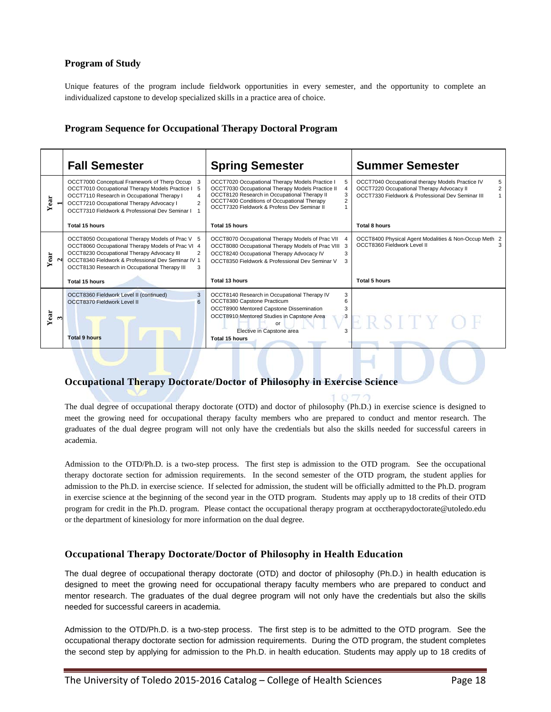### **Program of Study**

Unique features of the program include fieldwork opportunities in every semester, and the opportunity to complete an individualized capstone to develop specialized skills in a practice area of choice.

### **Program Sequence for Occupational Therapy Doctoral Program**

|           | <b>Fall Semester</b>                                                                                                                                                                                                                                                       | <b>Spring Semester</b>                                                                                                                                                                                                                            | <b>Summer Semester</b>                                                                                                                                               |
|-----------|----------------------------------------------------------------------------------------------------------------------------------------------------------------------------------------------------------------------------------------------------------------------------|---------------------------------------------------------------------------------------------------------------------------------------------------------------------------------------------------------------------------------------------------|----------------------------------------------------------------------------------------------------------------------------------------------------------------------|
| Year      | OCCT7000 Conceptual Framework of Therp Occup<br>3<br>OCCT7010 Occupational Therapy Models Practice I<br>-5<br>OCCT7110 Research in Occupational Therapy I<br>$\overline{4}$<br>OCCT7210 Occupational Therapy Advocacy I<br>OCCT7310 Fieldwork & Professional Dev Seminar I | OCCT7020 Occupational Therapy Models Practice I<br>OCCT7030 Occupational Therapy Models Practice II<br>OCCT8120 Research in Occupational Therapy II<br>OCCT7400 Conditions of Occupational Therapy<br>OCCT7320 Fieldwork & Profess Dev Seminar II | OCCT7040 Occupational therapy Models Practice IV<br>OCCT7220 Occupational Therapy Advocacy II<br>$\overline{2}$<br>OCCT7330 Fieldwork & Professional Dev Seminar III |
|           | Total 15 hours                                                                                                                                                                                                                                                             | Total 15 hours                                                                                                                                                                                                                                    | <b>Total 8 hours</b>                                                                                                                                                 |
| Year      | OCCT8050 Occupational Therapy Models of Prac V 5<br>OCCT8060 Occupational Therapy Models of Prac VI 4<br>OCCT8230 Occupational Therapy Advocacy III<br>OCCT8340 Fieldwork & Professional Dev Seminar IV 1<br>OCCT8130 Research in Occupational Therapy III<br>3            | OCCT8070 Occupational Therapy Models of Prac VII<br>OCCT8080 Occupational Therapy Models of Prac VIII 3<br>OCCT8240 Occupational Therapy Advocacy IV<br>3<br>OCCT8350 Fieldwork & Professional Dev Seminar V<br>3                                 | OCCT8400 Physical Agent Modalities & Non-Occup Meth 2<br>OCCT8360 Fieldwork Level II<br>3                                                                            |
|           | Total 15 hours                                                                                                                                                                                                                                                             | Total 13 hours                                                                                                                                                                                                                                    | <b>Total 5 hours</b>                                                                                                                                                 |
| Year<br>٣ | 3<br>OCCT8360 Fieldwork Level II (continued)<br>OCCT8370 Fieldwork Level II<br>$6\overline{6}$<br><b>Total 9 hours</b>                                                                                                                                                     | OCCT8140 Research in Occupational Therapy IV<br>3<br>OCCT8380 Capstone Practicum<br>6<br>OCCT8900 Mentored Capstone Dissemination<br>3<br>OCCT8910 Mentored Studies in Capstone Area<br>3<br>or<br>Elective in Capstone area<br>Total 15 hours    | ERSITY O                                                                                                                                                             |

### **Occupational Therapy Doctorate/Doctor of Philosophy in Exercise Science**

The dual degree of occupational therapy doctorate (OTD) and doctor of philosophy (Ph.D.) in exercise science is designed to meet the growing need for occupational therapy faculty members who are prepared to conduct and mentor research. The graduates of the dual degree program will not only have the credentials but also the skills needed for successful careers in academia.

Admission to the OTD/Ph.D. is a two-step process. The first step is admission to the OTD program. See the occupational therapy doctorate section for admission requirements. In the second semester of the OTD program, the student applies for admission to the Ph.D. in exercise science. If selected for admission, the student will be officially admitted to the Ph.D. program in exercise science at the beginning of the second year in the OTD program. Students may apply up to 18 credits of their OTD program for credit in the Ph.D. program. Please contact the occupational therapy program at [occtherapydoctorate@utoledo.edu](mailto:occtherapydoctorate@utoledo.edu) or the department of kinesiology for more information on the dual degree.

### **Occupational Therapy Doctorate/Doctor of Philosophy in Health Education**

The dual degree of occupational therapy doctorate (OTD) and doctor of philosophy (Ph.D.) in health education is designed to meet the growing need for occupational therapy faculty members who are prepared to conduct and mentor research. The graduates of the dual degree program will not only have the credentials but also the skills needed for successful careers in academia.

Admission to the OTD/Ph.D. is a two-step process. The first step is to be admitted to the OTD program. See the occupational therapy doctorate section for admission requirements. During the OTD program, the student completes the second step by applying for admission to the Ph.D. in health education. Students may apply up to 18 credits of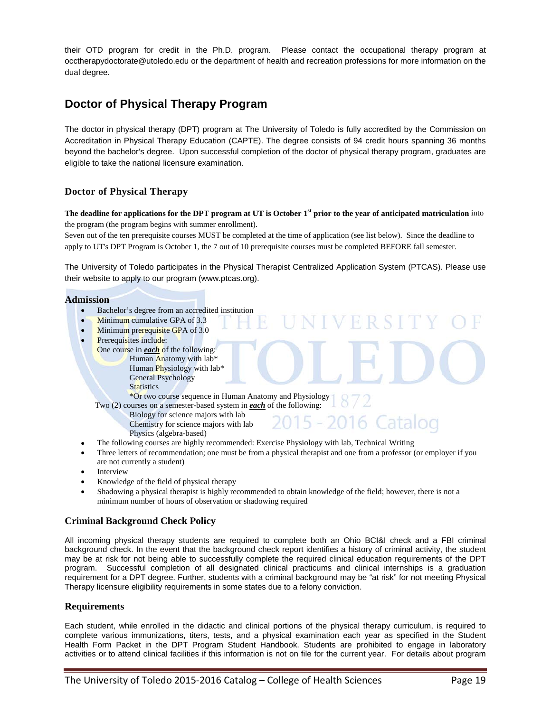their OTD program for credit in the Ph.D. program. Please contact the occupational therapy program at [occtherapydoctorate@utoledo.edu](mailto:occtherapydoctorate@utoledo.edu) or the department of health and recreation professions for more information on the dual degree.

# **Doctor of Physical Therapy Program**

The doctor in physical therapy (DPT) program at The University of Toledo is fully accredited by the Commission on Accreditation in Physical Therapy Education (CAPTE). The degree consists of 94 credit hours spanning 36 months beyond the bachelor's degree. Upon successful completion of the doctor of physical therapy program, graduates are eligible to take the national licensure examination.

### **Doctor of Physical Therapy**

**The deadline for applications for the DPT program at UT is October 1st prior to the year of anticipated matriculation** into the program (the program begins with summer enrollment).

Seven out of the ten prerequisite courses MUST be completed at the time of application (see list below). Since the deadline to apply to UT's DPT Program is October 1, the 7 out of 10 prerequisite courses must be completed BEFORE fall semester.

The University of Toledo participates in the Physical Therapist Centralized Application System (PTCAS). Please use their website to apply to our program [\(www.ptcas.org\)](http://www.ptcas.org/).

 $R_{\rm R}$ 

#### **Admission**

- Bachelor's degree from an accredited institution
- Minimum cumulative GPA of 3.3
- Minimum prerequisite GPA of 3.0
- Prerequisites include:
	- One course in *each* of the following: Human Anatomy with lab\* Human Physiology with lab\* General Psychology **Statistics**

\*Or two course sequence in Human Anatomy and Physiology

Two (2) courses on a semester-based system in *each* of the following:

- Biology for science majors with lab
- Chemistry for science majors with lab
- Physics (algebra-based)
- The following courses are highly recommended: Exercise Physiology with lab, Technical Writing
- Three letters of recommendation; one must be from a physical therapist and one from a professor (or employer if you are not currently a student)
- **Interview**
- Knowledge of the field of physical therapy
- Shadowing a physical therapist is highly recommended to obtain knowledge of the field; however, there is not a minimum number of hours of observation or shadowing required

### **Criminal Background Check Policy**

All incoming physical therapy students are required to complete both an Ohio BCI&I check and a FBI criminal background check. In the event that the background check report identifies a history of criminal activity, the student may be at risk for not being able to successfully complete the required clinical education requirements of the DPT program. Successful completion of all designated clinical practicums and clinical internships is a graduation requirement for a DPT degree. Further, students with a criminal background may be "at risk" for not meeting Physical Therapy licensure eligibility requirements in some states due to a felony conviction.

### **Requirements**

Each student, while enrolled in the didactic and clinical portions of the physical therapy curriculum, is required to complete various immunizations, titers, tests, and a physical examination each year as specified in the Student Health Form Packet in the DPT Program Student Handbook. Students are prohibited to engage in laboratory activities or to attend clinical facilities if this information is not on file for the current year. For details about program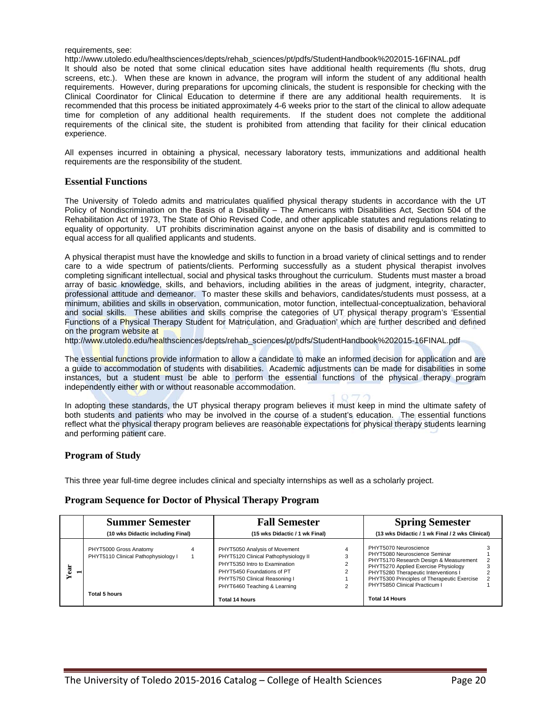#### requirements, see:

http://www.utoledo.edu/healthsciences/depts/rehab\_sciences/pt/pdfs/StudentHandbook%202015-16FINAL.pdf It should also be noted that some clinical education sites have additional health requirements (flu shots, drug screens, etc.). When these are known in advance, the program will inform the student of any additional health requirements. However, during preparations for upcoming clinicals, the student is responsible for checking with the Clinical Coordinator for Clinical Education to determine if there are any additional health requirements. It is recommended that this process be initiated approximately 4-6 weeks prior to the start of the clinical to allow adequate time for completion of any additional health requirements. If the student does not complete the additional requirements of the clinical site, the student is prohibited from attending that facility for their clinical education experience.

All expenses incurred in obtaining a physical, necessary laboratory tests, immunizations and additional health requirements are the responsibility of the student.

#### **Essential Functions**

The University of Toledo admits and matriculates qualified physical therapy students in accordance with the UT Policy of Nondiscrimination on the Basis of a Disability – The Americans with Disabilities Act, Section 504 of the Rehabilitation Act of 1973, The State of Ohio Revised Code, and other applicable statutes and regulations relating to equality of opportunity. UT prohibits discrimination against anyone on the basis of disability and is committed to equal access for all qualified applicants and students.

A physical therapist must have the knowledge and skills to function in a broad variety of clinical settings and to render care to a wide spectrum of patients/clients. Performing successfully as a student physical therapist involves completing significant intellectual, social and physical tasks throughout the curriculum. Students must master a broad array of basic knowledge, skills, and behaviors, including abilities in the areas of judgment, integrity, character, professional attitude and demeanor. To master these skills and behaviors, candidates/students must possess, at a minimum, abilities and skills in observation, communication, motor function, intellectual-conceptualization, behavioral and social skills. These abilities and skills comprise the categories of UT physical therapy program's 'Essential Functions of a Physical Therapy Student for Matriculation, and Graduation' which are further described and defined on the program website at

http://www.utoledo.edu/healthsciences/depts/rehab\_sciences/pt/pdfs/StudentHandbook%202015-16FINAL.pdf

The essential functions provide information to allow a candidate to make an informed decision for application and are a guide to accommodation of students with disabilities. Academic adjustments can be made for disabilities in some instances, but a student must be able to perform the essential functions of the physical therapy program independently either with or without reasonable accommodation.

In adopting these standards, the UT physical therapy program believes it must keep in mind the ultimate safety of both students and patients who may be involved in the course of a student's education. The essential functions reflect what the physical therapy program believes are reasonable expectations for physical therapy students learning and performing patient care.

#### **Program of Study**

This three year full-time degree includes clinical and specialty internships as well as a scholarly project.

#### **Program Sequence for Doctor of Physical Therapy Program**

|                        | <b>Summer Semester</b>                                                         |   | <b>Fall Semester</b>                                                                                                                                                                                                    |  | <b>Spring Semester</b>                                                                                                                                                                                                                                                                    |  |
|------------------------|--------------------------------------------------------------------------------|---|-------------------------------------------------------------------------------------------------------------------------------------------------------------------------------------------------------------------------|--|-------------------------------------------------------------------------------------------------------------------------------------------------------------------------------------------------------------------------------------------------------------------------------------------|--|
|                        | (10 wks Didactic including Final)                                              |   | (15 wks Didactic / 1 wk Final)                                                                                                                                                                                          |  | (13 wks Didactic / 1 wk Final / 2 wks Clinical)                                                                                                                                                                                                                                           |  |
| Year<br>$\blacksquare$ | PHYT5000 Gross Anatomy<br>PHYT5110 Clinical Pathophysiology I<br>Total 5 hours | 4 | PHYT5050 Analysis of Movement<br>PHYT5120 Clinical Pathophysiology II<br>PHYT5350 Intro to Examination<br>PHYT5450 Foundations of PT<br>PHYT5750 Clinical Reasoning I<br>PHYT6460 Teaching & Learning<br>Total 14 hours |  | PHYT5070 Neuroscience<br>PHYT5080 Neuroscience Seminar<br>PHYT5170 Research Design & Measurement<br>PHYT5270 Applied Exercise Physiology<br>PHYT5280 Therapeutic Interventions I<br>PHYT5300 Principles of Therapeutic Exercise<br>PHYT5850 Clinical Practicum I<br><b>Total 14 Hours</b> |  |